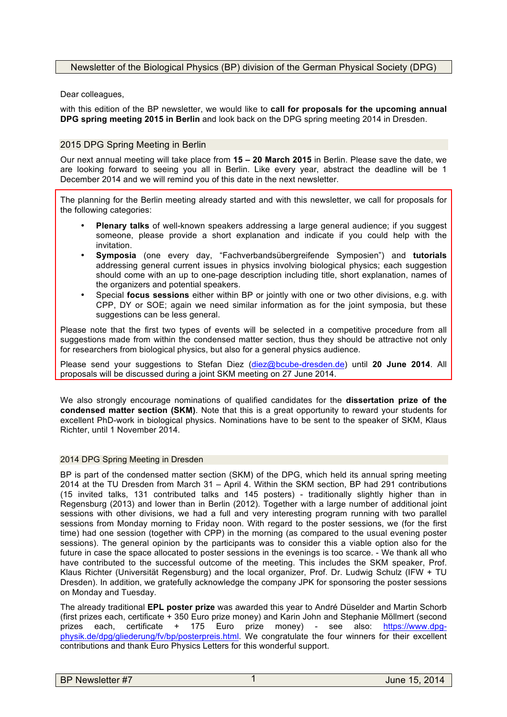# Newsletter of the Biological Physics (BP) division of the German Physical Society (DPG)

Dear colleagues,

with this edition of the BP newsletter, we would like to **call for proposals for the upcoming annual DPG spring meeting 2015 in Berlin** and look back on the DPG spring meeting 2014 in Dresden.

# 2015 DPG Spring Meeting in Berlin

Our next annual meeting will take place from **15 – 20 March 2015** in Berlin. Please save the date, we are looking forward to seeing you all in Berlin. Like every year, abstract the deadline will be 1 December 2014 and we will remind you of this date in the next newsletter.

The planning for the Berlin meeting already started and with this newsletter, we call for proposals for the following categories:

- **Plenary talks** of well-known speakers addressing a large general audience; if you suggest someone, please provide a short explanation and indicate if you could help with the invitation.
- **Symposia** (one every day, "Fachverbandsübergreifende Symposien") and **tutorials**  addressing general current issues in physics involving biological physics; each suggestion should come with an up to one-page description including title, short explanation, names of the organizers and potential speakers.
- Special **focus sessions** either within BP or jointly with one or two other divisions, e.g. with CPP, DY or SOE; again we need similar information as for the joint symposia, but these suggestions can be less general.

Please note that the first two types of events will be selected in a competitive procedure from all suggestions made from within the condensed matter section, thus they should be attractive not only for researchers from biological physics, but also for a general physics audience.

Please send your suggestions to Stefan Diez (diez@bcube-dresden.de) until **20 June 2014**. All proposals will be discussed during a joint SKM meeting on 27 June 2014.

We also strongly encourage nominations of qualified candidates for the **dissertation prize of the condensed matter section (SKM)**. Note that this is a great opportunity to reward your students for excellent PhD-work in biological physics. Nominations have to be sent to the speaker of SKM, Klaus Richter, until 1 November 2014.

## 2014 DPG Spring Meeting in Dresden

BP is part of the condensed matter section (SKM) of the DPG, which held its annual spring meeting 2014 at the TU Dresden from March 31 – April 4. Within the SKM section, BP had 291 contributions (15 invited talks, 131 contributed talks and 145 posters) - traditionally slightly higher than in Regensburg (2013) and lower than in Berlin (2012). Together with a large number of additional joint sessions with other divisions, we had a full and very interesting program running with two parallel sessions from Monday morning to Friday noon. With regard to the poster sessions, we (for the first time) had one session (together with CPP) in the morning (as compared to the usual evening poster sessions). The general opinion by the participants was to consider this a viable option also for the future in case the space allocated to poster sessions in the evenings is too scarce. - We thank all who have contributed to the successful outcome of the meeting. This includes the SKM speaker, Prof. Klaus Richter (Universität Regensburg) and the local organizer, Prof. Dr. Ludwig Schulz (IFW + TU Dresden). In addition, we gratefully acknowledge the company JPK for sponsoring the poster sessions on Monday and Tuesday.

The already traditional **EPL poster prize** was awarded this year to André Düselder and Martin Schorb (first prizes each, certificate + 350 Euro prize money) and Karin John and Stephanie Möllmert (second prizes each, certificate + 175 Euro prize money) - see also: https://www.dpgphysik.de/dpg/gliederung/fv/bp/posterpreis.html. We congratulate the four winners for their excellent contributions and thank Euro Physics Letters for this wonderful support.